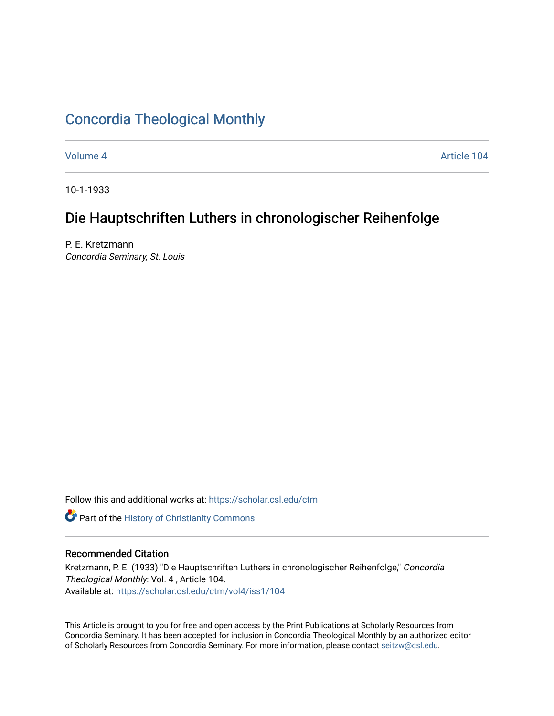# [Concordia Theological Monthly](https://scholar.csl.edu/ctm)

[Volume 4](https://scholar.csl.edu/ctm/vol4) [Article 104](https://scholar.csl.edu/ctm/vol4/iss1/104) 

10-1-1933

# Die Hauptschriften Luthers in chronologischer Reihenfolge

P. E. Kretzmann Concordia Seminary, St. Louis

Follow this and additional works at: [https://scholar.csl.edu/ctm](https://scholar.csl.edu/ctm?utm_source=scholar.csl.edu%2Fctm%2Fvol4%2Fiss1%2F104&utm_medium=PDF&utm_campaign=PDFCoverPages)

**Part of the History of Christianity Commons** 

## Recommended Citation

Kretzmann, P. E. (1933) "Die Hauptschriften Luthers in chronologischer Reihenfolge," Concordia Theological Monthly: Vol. 4 , Article 104. Available at: [https://scholar.csl.edu/ctm/vol4/iss1/104](https://scholar.csl.edu/ctm/vol4/iss1/104?utm_source=scholar.csl.edu%2Fctm%2Fvol4%2Fiss1%2F104&utm_medium=PDF&utm_campaign=PDFCoverPages) 

This Article is brought to you for free and open access by the Print Publications at Scholarly Resources from Concordia Seminary. It has been accepted for inclusion in Concordia Theological Monthly by an authorized editor of Scholarly Resources from Concordia Seminary. For more information, please contact [seitzw@csl.edu](mailto:seitzw@csl.edu).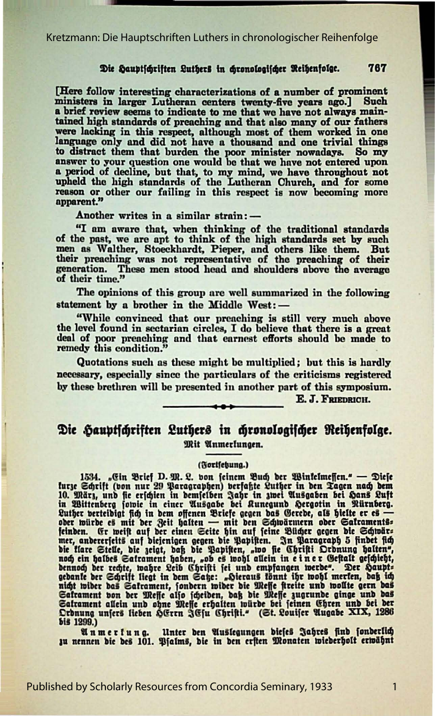#### 767 Die Hauptschriften Luthers in chronologischer Reihenfolge.

[Here follow interesting characterizations of a number of prominent ministers in larger Lutheran centers twenty-five years ago.] Such a brief review seems to indicate to me that we have not always maintained high standards of preaching and that also many of our fathers were lacking in this respect, although most of them worked in one language only and did not have a thousand and one trivial things to distract them that burden the poor minister nowadays. So my answer to your question one would be that we have not entered upon a period of decline, but that, to my mind, we have not entered upon<br>upheld the high standards of the Lutheran Church, and for some<br>reason or other our failing in this respect is now becoming more<br>apparent."

Another writes in a similar strain:-

"I am aware that, when thinking of the traditional standards of the past, we are apt to think of the high standards set by such men as Walther, Stoeckhardt, Pieper, and others like them. But their preaching was not represe generation. These men stood head and shoulders above the average of their time."

The opinions of this group are well summarized in the following statement by a brother in the Middle West: -

"While convinced that our preaching is still very much above the level found in sectarian circles, I do believe that there is a great deal of poor preaching and that earnest efforts should be made to remedy this condition.

Quotations such as these might be multiplied; but this is hardly necessary, especially since the particulars of the criticisms registered by these brethren will be presented in another part of this symposium.

E. J. FRIEDRICH.

## Die Hauptschriften Luthers in chronologischer Reihenfolge. Mit Anmerfungen.

#### (Fortfetsung.)

1534. "Gin Brief D. M. 2. bon feinem Buch ber Winkelmeffen." — Diefe turge Schrift (von nur 29 Paragraphen) verfahre Luther in bem Tagen nach bem 10. März, und fie erichien in bem feilden ihr sine and we all the magnetic l Saframent von der Meffe alfo fcheiden, daß die Meffe zugrunde ginge und das Satrament allein und ohne Deffe erhalten würde bei feinen Ehren und bei der Ordnung unfers lieben hGrrn JGfu Christi." (St. Louifer Augabe XIX, 1286 bis 1299.)

Unter den Auslegungen diefes Jahres find fonderlich Anmerkung. zu nennen die des 101. Pfalms, die in den erften Monaten wiederholt erwähnt

 $\mathbf{1}$